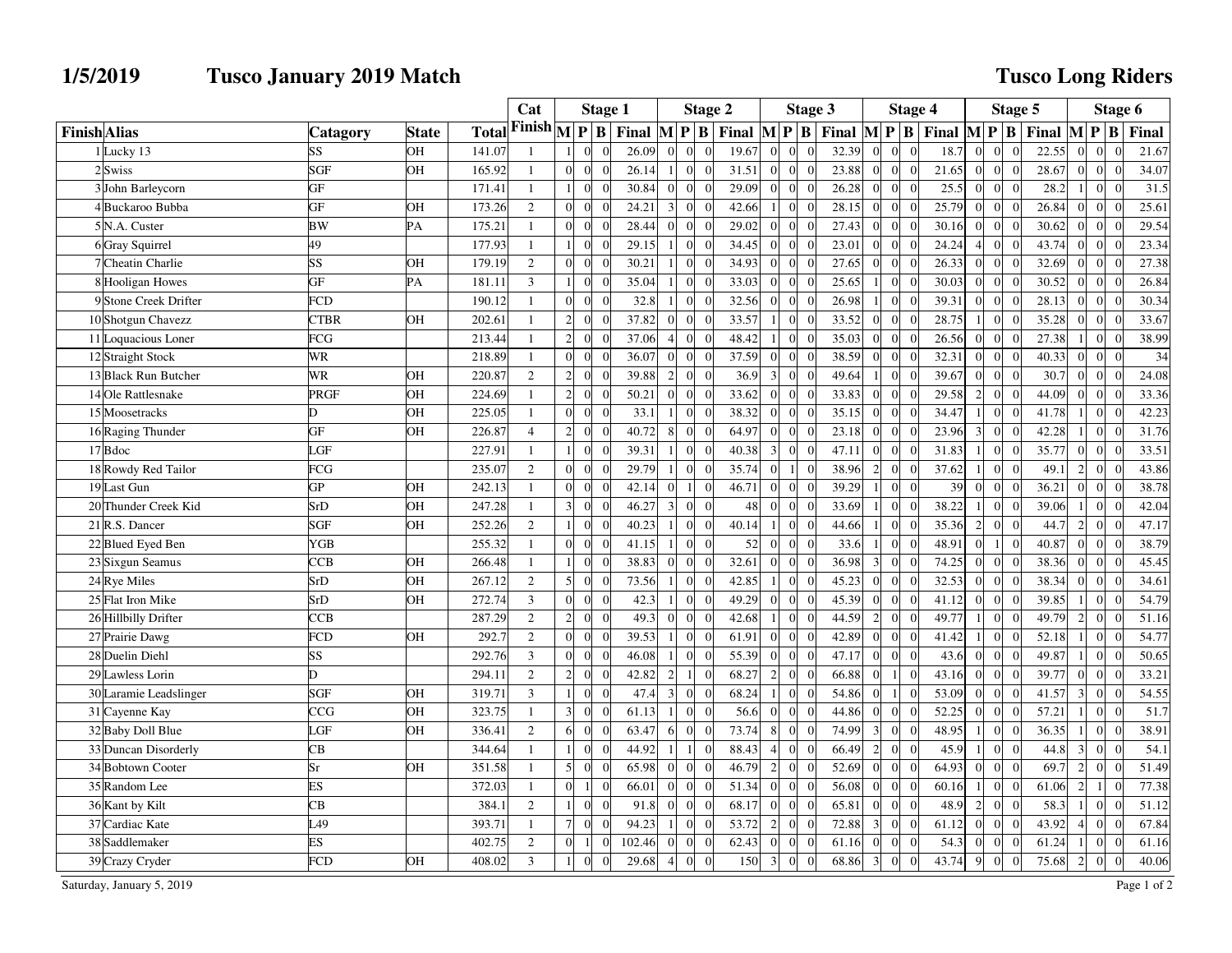## **1/5/2019 Tusco January 2019 Match**

## **Tusco Long Riders**

|                           |                        |              |        | Cat                                      | <b>Stage 1</b> |                            |                                          |                | <b>Stage 2</b>   |                |                                             |                | Stage 3                     |                                                                                   |                 |                | Stage 4        |       | Stage 5                           |                |                                          |                |                             | Stage 6 |  |  |
|---------------------------|------------------------|--------------|--------|------------------------------------------|----------------|----------------------------|------------------------------------------|----------------|------------------|----------------|---------------------------------------------|----------------|-----------------------------|-----------------------------------------------------------------------------------|-----------------|----------------|----------------|-------|-----------------------------------|----------------|------------------------------------------|----------------|-----------------------------|---------|--|--|
| <b>Finish</b> Alias       | <b>Catagory</b>        | <b>State</b> | Total  | Finish $\sqrt{\mathbf{p}}\, \mathbf{B} $ |                |                            | Final $\mathbf{M} \mathbf{P} \mathbf{B}$ |                |                  |                | Final $\left  M \right  P \left  B \right $ |                |                             | Final $\mathbf{M} \mathbf{P} \mathbf{B}$ Final $\mathbf{M} \mathbf{P} \mathbf{B}$ |                 |                |                |       |                                   |                | Final $\mathbf{M} \mathbf{P} \mathbf{B}$ |                |                             | Final   |  |  |
| 1 Lucky 13                | SS                     | OH           | 141.07 |                                          |                |                            | 26.09                                    |                | $\overline{0}$   |                | 19.67                                       | $\overline{0}$ |                             | 32.39                                                                             | $\overline{0}$  | $\Omega$       | $\theta$       | 18.7  | $\overline{0}$<br>$\Omega$        | $\Omega$       | 22.55                                    | $\Omega$       | $\Omega$                    | 21.67   |  |  |
| 2Swiss                    | SGF                    | <b>OH</b>    | 165.92 | $\mathbf{1}$                             | $\Omega$       | $\theta$<br>$\Omega$       | 26.14                                    | $\overline{1}$ | $\overline{0}$   | $\theta$       | 31.51                                       | $\overline{0}$ | $\Omega$<br>$\Omega$        | 23.88                                                                             | $\overline{0}$  | $\overline{0}$ | $\overline{0}$ | 21.65 | $\overline{0}$<br>$\Omega$        | $\Omega$       | 28.67                                    | $\Omega$       | $\overline{0}$<br>$\Omega$  | 34.07   |  |  |
| 3 John Barleycorn         | GF                     |              | 171.41 | $\mathbf{1}$                             |                | $\sqrt{ }$                 | 30.84                                    |                | $\boldsymbol{0}$ |                | 29.09                                       | $\theta$       | $\sqrt{ }$                  | 26.28                                                                             | $\overline{0}$  | $\Omega$       | $\Omega$       | 25.5  | $\overline{0}$<br>$\Omega$        | $\Omega$       | 28.2                                     |                | $\vert 0 \vert$             | 31.5    |  |  |
| 4 Buckaroo Bubba          | GF                     | OH           | 173.26 | $\mathbf{2}$                             | $\Omega$       | $\theta$                   | 24.21                                    | $\overline{3}$ | $\mathbf 0$      |                | 42.66                                       |                | $\sqrt{ }$<br>$\Omega$      | 28.15                                                                             | $\vert 0 \vert$ | $\overline{0}$ | $\theta$       | 25.79 | $\overline{0}$<br>$\Omega$        | $\Omega$       | 26.84                                    | $\Omega$       | $\overline{0}$<br>$\Omega$  | 25.61   |  |  |
| 5 <sup>N</sup> .A. Custer | <b>BW</b>              | PA           | 175.21 | $\mathbf{1}$                             | $\overline{0}$ | $\overline{0}$<br>$\Omega$ | 28.44                                    |                | $\boldsymbol{0}$ |                | 29.02                                       | $\mathbf{0}$   | $\sqrt{ }$<br>$\Omega$      | 27.43                                                                             | $\overline{0}$  | $\overline{0}$ | $\overline{0}$ | 30.16 | $\mathbf{0}$<br>$\Omega$          | $\Omega$       | 30.62                                    | $\Omega$       | $\overline{0}$              | 29.54   |  |  |
| 6 Gray Squirrel           | 49                     |              | 177.93 | $\mathbf{1}$                             |                | $\Omega$                   | 29.15                                    |                | $\mathbf{0}$     |                | 34.45                                       | $\mathbf{0}$   | $\bigcap$                   | 23.01                                                                             | $\overline{0}$  | $\Omega$       | $\theta$       | 24.24 | $\overline{0}$                    | $\Omega$       | 43.74                                    | $\Omega$       | $\vert 0 \vert$             | 23.34   |  |  |
| 7 Cheatin Charlie         | SS                     | OН           | 179.19 | $\overline{2}$                           | $\Omega$       | $\Omega$<br>$\Omega$       | 30.21                                    |                | $\mathbf{0}$     | $\theta$       | 34.93                                       | $\overline{0}$ | $\sqrt{ }$<br>$\Omega$      | 27.65                                                                             | $\overline{0}$  | $\overline{0}$ | $\theta$       | 26.33 | $\vert$ 0<br>$\Omega$             | $\Omega$       | 32.69                                    | $\Omega$       | $\vert$ 0<br>$\Omega$       | 27.38   |  |  |
| 8 Hooligan Howes          | $\overline{\text{GF}}$ | PA           | 181.11 | $\overline{3}$                           |                | $\sqrt{ }$                 | 35.04                                    |                | $\boldsymbol{0}$ |                | 33.03                                       | $\mathbf{0}$   | $\sqrt{ }$                  | 25.65                                                                             | $\frac{1}{2}$   | $\overline{0}$ | $\overline{0}$ | 30.03 | $\overline{0}$<br>$\overline{0}$  | $\overline{0}$ | 30.52                                    | $\vert$ 0      | $\vert$ 0                   | 26.84   |  |  |
| 9 Stone Creek Drifter     | <b>FCD</b>             |              | 190.12 | $\mathbf{1}$                             | $\Omega$       | $\Omega$<br>$\Omega$       | 32.8                                     |                | $\overline{0}$   |                | 32.56                                       | $\mathbf{0}$   | $\Omega$<br>$\Omega$        | 26.98                                                                             | 1 <sup>1</sup>  | $\overline{0}$ | $\theta$       | 39.31 | $\overline{0}$<br>$\Omega$        | $\Omega$       | 28.13                                    | $\Omega$       | $\vert 0 \vert$<br>$\Omega$ | 30.34   |  |  |
| 10 Shotgun Chavezz        | <b>CTBR</b>            | OН           | 202.61 | $\mathbf{1}$                             | $\overline{2}$ | $\Omega$<br>$\Omega$       | 37.82                                    | $\Omega$       | $\boldsymbol{0}$ |                | 33.57                                       |                | $\Omega$<br>$\Omega$        | 33.52                                                                             | $\overline{0}$  | $\overline{0}$ | $\overline{0}$ | 28.75 | $\mathbf{0}$<br>1 <sup>1</sup>    | $\Omega$       | 35.28                                    | $\Omega$       | $\overline{0}$              | 33.67   |  |  |
| 11 Loquacious Loner       | FCG                    |              | 213.44 | $\mathbf{1}$                             | $\overline{2}$ | $\Omega$                   | 37.06                                    |                | $\overline{0}$   |                | 48.42                                       |                | $\bigcap$<br>$\Omega$       | 35.03                                                                             | $\overline{0}$  | $\Omega$       | $\Omega$       | 26.56 | $\overline{0}$<br>$\Omega$        | $\Omega$       | 27.38                                    |                | $\vert 0 \vert$<br>$\Omega$ | 38.99   |  |  |
| 12 Straight Stock         | <b>WR</b>              |              | 218.89 | $\mathbf{1}$                             | $\overline{0}$ | $\theta$<br>$\Omega$       | 36.07                                    | $\overline{0}$ | $\boldsymbol{0}$ | $\overline{0}$ | 37.59                                       | $\mathbf{0}$   | $\overline{0}$<br>$\bigcap$ | 38.59                                                                             | $\overline{0}$  | $\overline{0}$ | $\overline{0}$ | 32.31 | $\vert 0 \vert$<br>$\overline{0}$ | $\overline{0}$ | 40.33                                    | $\vert$ 0      | $\vert 0 \vert$<br>$\Omega$ | 34      |  |  |
| 13 Black Run Butcher      | <b>WR</b>              | <b>OH</b>    | 220.87 | $\overline{c}$                           | $\overline{2}$ | $\theta$                   | 39.88                                    | $\overline{2}$ | $\mathbf{0}$     |                | 36.9                                        | $\overline{3}$ | $\Omega$                    | 49.64                                                                             | 1 <sup>1</sup>  | $\overline{0}$ | $\overline{0}$ | 39.67 | $\overline{0}$<br>$\overline{0}$  | $\overline{0}$ | 30.7                                     | $\vert$ 0      | $\vert$ 0                   | 24.08   |  |  |
| 14 Ole Rattlesnake        | PRGF                   | OH           | 224.69 | $\mathbf{1}$                             | $\overline{2}$ | $\theta$<br>$\Omega$       | 50.21                                    | $\Omega$       | $\overline{0}$   |                | 33.62                                       | $\mathbf{0}$   | $\Omega$<br>$\Omega$        | 33.83                                                                             | $\overline{0}$  | $\overline{0}$ | $\theta$       | 29.58 | $\overline{0}$<br>$\overline{2}$  | $\Omega$       | 44.09                                    | $\Omega$       | $\vert$ 0<br>$\theta$       | 33.36   |  |  |
| 15 Moosetracks            | D.                     | OН           | 225.05 | $\mathbf{1}$                             | $\overline{0}$ | $\sqrt{ }$<br>$\Omega$     | 33.1                                     |                | $\theta$         |                | 38.32                                       | $\overline{0}$ | $\sqrt{ }$                  | 35.15                                                                             | $\overline{0}$  | $\overline{0}$ | $\Omega$       | 34.47 | $\overline{0}$                    | $\Omega$       | 41.78                                    |                | $\overline{0}$              | 42.23   |  |  |
| 16 Raging Thunder         | GF                     | OН           | 226.87 | $\overline{4}$                           | $\overline{c}$ | $\sqrt{ }$                 | 40.72                                    |                | $\mathbf{0}$     |                | 64.97                                       | $\Omega$       |                             | 23.18                                                                             | $\Omega$        | $\Omega$       | $\Omega$       | 23.96 | $\overline{0}$<br>3               | $\Omega$       | 42.28                                    |                | $\vert$ 0                   | 31.76   |  |  |
| 17 Bdoc                   | LGF                    |              | 227.91 | $\mathbf{1}$                             |                | $\theta$<br>$\Omega$       | 39.31                                    |                | $\boldsymbol{0}$ | $\theta$       | 40.38                                       | 3              | $\Omega$<br>$\sqrt{ }$      | 47.11                                                                             | $\mathbf{0}$    | $\overline{0}$ | $\overline{0}$ | 31.83 | $\overline{0}$<br>$\overline{1}$  | $\overline{0}$ | 35.77                                    | $\vert$ 0      | $\vert 0 \vert$<br>$\Omega$ | 33.51   |  |  |
| 18 Rowdy Red Tailor       | FCG                    |              | 235.07 | $\mathbf{2}$                             | $\overline{0}$ | $\Omega$                   | 29.79                                    |                | $\boldsymbol{0}$ |                | 35.74                                       | $\mathbf{0}$   | $\sqrt{ }$                  | 38.96                                                                             | $\overline{2}$  | $\overline{0}$ | $\overline{0}$ | 37.62 | $\overline{0}$                    | $\theta$       | 49.1                                     | $\overline{2}$ | $\vert 0 \vert$             | 43.86   |  |  |
| 19 Last Gun               | <b>GP</b>              | OH           | 242.13 | $\mathbf{1}$                             | $\Omega$       | $\theta$                   | 42.14                                    | $\Omega$       | $\mathbf{1}$     | $\Omega$       | 46.71                                       | $\Omega$       | $\Omega$<br>$\Omega$        | 39.29                                                                             | 1 <sup>1</sup>  | $\Omega$       | $\theta$       | 39    | $\overline{0}$<br>$\Omega$        | $\Omega$       | 36.21                                    | $\Omega$       | $\overline{0}$<br>$\Omega$  | 38.78   |  |  |
| 20 Thunder Creek Kid      | SrD                    | <b>OH</b>    | 247.28 | $\mathbf{1}$                             | $\overline{3}$ | $\sqrt{ }$<br>$\Omega$     | 46.27                                    | 3              | $\boldsymbol{0}$ | $\Omega$       | 48                                          | $\Omega$       | $\sqrt{ }$                  | 33.69                                                                             | 1 <sup>1</sup>  | $\Omega$       | $\Omega$       | 38.22 | $\mathbf{0}$                      | $\Omega$       | 39.06                                    |                | $\overline{0}$              | 42.04   |  |  |
| 21 R.S. Dancer            | <b>SGF</b>             | OН           | 252.26 | $\overline{c}$                           |                | $\Omega$                   | 40.23                                    |                | $\overline{0}$   |                | 40.14                                       |                |                             | 44.66                                                                             |                 | $\overline{0}$ | $\Omega$       | 35.36 | $\overline{0}$<br>$\overline{c}$  | $\Omega$       | 44.7                                     | $\overline{2}$ | $\overline{0}$              | 47.17   |  |  |
| 22 Blued Eyed Ben         | YGB                    |              | 255.32 | $\mathbf{1}$                             | $\overline{0}$ | $\theta$<br>$\Omega$       | 41.15                                    | -1             | $\theta$         | $\theta$       | 52                                          | $\theta$       | $\bigcap$<br>$\Omega$       | 33.6                                                                              | $\mathbf{1}$    | $\overline{0}$ | $\overline{0}$ | 48.91 | $\overline{0}$<br>$\vert$         | $\mathbf{0}$   | 40.87                                    | $\Omega$       | $\overline{0}$<br>$\Omega$  | 38.79   |  |  |
| 23 Sixgun Seamus          | <b>CCB</b>             | <b>OH</b>    | 266.48 | $\mathbf{1}$                             |                | $\Omega$                   | 38.83                                    |                | $\mathbf 0$      |                | 32.61                                       | $\theta$       |                             | 36.98                                                                             | 3 <sup>l</sup>  | $\overline{0}$ | $\Omega$       | 74.25 | $\overline{0}$<br>$\Omega$        | $\Omega$       | 38.36                                    |                | $\overline{0}$              | 45.45   |  |  |
| 24 Rye Miles              | SrD                    | <b>OH</b>    | 267.12 | $\overline{2}$                           | $\mathbf{5}$   | $\theta$<br>$\Omega$       | 73.56                                    |                | $\mathbf{0}$     |                | 42.85                                       | $\overline{1}$ | $\Omega$<br>$\Omega$        | 45.23                                                                             | $\overline{0}$  | $\Omega$       | $\theta$       | 32.53 | $\Omega$<br>$\Omega$              | $\Omega$       | 38.34                                    | $\Omega$       | $\overline{0}$<br>$\Omega$  | 34.61   |  |  |
| 25 Flat Iron Mike         | SrD                    | OН           | 272.74 | 3                                        | $\overline{0}$ | $\sqrt{ }$<br>$\Omega$     | 42.3                                     |                | $\mathbf{0}$     |                | 49.29                                       | $\mathbf{0}$   | $\sqrt{ }$                  | 45.39                                                                             | $\overline{0}$  | $\overline{0}$ | $\overline{0}$ | 41.12 | $\mathbf{0}$<br>$\Omega$          | $\Omega$       | 39.85                                    |                | $\overline{0}$              | 54.79   |  |  |
| 26 Hillbilly Drifter      | <b>CCB</b>             |              | 287.29 | $\overline{c}$                           | $\overline{c}$ | $\Omega$                   | 49.3                                     |                | $\overline{0}$   |                | 42.68                                       |                | $\sqrt{ }$                  | 44.59                                                                             | $\overline{2}$  | $\Omega$       | $\Omega$       | 49.77 | $\overline{0}$                    | $\Omega$       | 49.79                                    | $\overline{2}$ | $\overline{0}$              | 51.16   |  |  |
| 27 Prairie Dawg           | <b>FCD</b>             | OH           | 292.7  | $\overline{2}$                           | $\overline{0}$ | $\theta$<br>$\Omega$       | 39.53                                    |                | $\boldsymbol{0}$ | $\Omega$       | 61.91                                       | $\theta$       | $\Omega$<br>$\Omega$        | 42.89                                                                             | $\overline{0}$  | $\overline{0}$ | $\overline{0}$ | 41.42 | $\overline{0}$<br>$\vert$         | $\overline{0}$ | 52.18                                    |                | $\overline{0}$<br>$\Omega$  | 54.77   |  |  |
| 28 Duelin Diehl           | SS                     |              | 292.76 | $\overline{3}$                           | $\Omega$       | $\sqrt{ }$                 | 46.08                                    |                | $\mathbf 0$      |                | 55.39                                       | $\theta$       | $\Omega$                    | 47.17                                                                             | $\overline{0}$  | $\theta$       | $\Omega$       | 43.6  | $\overline{0}$<br>$\Omega$        | $\Omega$       | 49.87                                    |                | $\vert$                     | 50.65   |  |  |
| 29 Lawless Lorin          | D.                     |              | 294.11 | $\overline{c}$                           | $\overline{2}$ | $\Omega$<br>$\Omega$       | 42.82                                    | 2              | $\mathbf{1}$     |                | 68.27                                       | $\overline{2}$ | $\Omega$<br>$\Omega$        | 66.88                                                                             | $\overline{0}$  | $\vert$ 1      | $\overline{0}$ | 43.16 | $\overline{0}$<br>$\Omega$        | $\mathbf{0}$   | 39.77                                    | $\Omega$       | $\overline{0}$<br>$\Omega$  | 33.21   |  |  |
| 30 Laramie Leadslinger    | <b>SGF</b>             | OН           | 319.71 | $\mathfrak{Z}$                           | $\mathbf{1}$   | $\Omega$<br>$\Omega$       | 47.4                                     | 3              | $\mathbf{0}$     |                | 68.24                                       |                | $\sqrt{ }$<br>$\Omega$      | 54.86                                                                             | $\overline{0}$  | $\overline{1}$ | $\overline{0}$ | 53.09 | $\mathbf{0}$<br>$\Omega$          | $\Omega$       | 41.57                                    | 3              | $\overline{0}$              | 54.55   |  |  |
| 31 Cayenne Kay            | CCG                    | OН           | 323.75 | $\mathbf{1}$                             | $\overline{3}$ | $\Omega$                   | 61.13                                    |                | $\overline{0}$   |                | 56.6                                        | $\overline{0}$ | $\sqrt{ }$                  | 44.86                                                                             | $\overline{0}$  | $\Omega$       | $\Omega$       | 52.25 | $\overline{0}$<br>$\Omega$        | $\Omega$       | 57.21                                    |                | $\overline{0}$<br>$\Omega$  | 51.7    |  |  |
| 32 Baby Doll Blue         | LGF                    | OН           | 336.41 | $\overline{2}$                           | 6              | $\theta$<br>$\Omega$       | 63.47                                    | 6              | $\theta$         | $\Omega$       | 73.74                                       | 8              | $\Omega$<br>$\Omega$        | 74.99                                                                             | $\overline{3}$  | $\overline{0}$ | $\Omega$       | 48.95 | $\vert$ 0<br>$\vert$              | $\Omega$       | 36.35                                    | -11            | $\vert$ 0<br>$\Omega$       | 38.91   |  |  |
| 33 Duncan Disorderly      | CB                     |              | 344.64 | $\mathbf{1}$                             |                | $\sqrt{ }$                 | 44.92                                    |                | $\mathbf{1}$     |                | 88.43                                       | $\overline{4}$ |                             | 66.49                                                                             | $\overline{2}$  | $\overline{0}$ | $\overline{0}$ | 45.9  | $\overline{0}$                    | $\overline{0}$ | 44.8                                     | 3              | $\vert 0 \vert$             | 54.1    |  |  |
| 34 Bobtown Cooter         | Sr                     | OH           | 351.58 | $\mathbf{1}$                             | $\mathbf{5}$   | $\overline{0}$<br>$\Omega$ | 65.98                                    | $\Omega$       | $\overline{0}$   |                | 46.79                                       | $\overline{2}$ | $\Omega$<br>$\Omega$        | 52.69                                                                             | $\overline{0}$  | $\overline{0}$ | $\theta$       | 64.93 | $\overline{0}$<br>$\Omega$        | $\overline{0}$ | 69.7                                     | 2              | $\overline{0}$<br>$\Omega$  | 51.49   |  |  |
| 35 Random Lee             | ES                     |              | 372.03 | $\mathbf{1}$                             | $\overline{0}$ | $\overline{1}$<br>$\Omega$ | 66.01                                    | $\Omega$       | $\mathbf{0}$     |                | 51.34                                       | $\mathbf{0}$   | $\sqrt{ }$<br>$\Omega$      | 56.08                                                                             | $\overline{0}$  | $\overline{0}$ | $\overline{0}$ | 60.16 | $\overline{0}$                    | $\overline{0}$ | 61.06                                    | $\overline{c}$ | $\mathbf{1}$                | 77.38   |  |  |
| 36 Kant by Kilt           | <b>CB</b>              |              | 384.1  | $\overline{2}$                           |                | $\Omega$<br>$\Omega$       | 91.8                                     | $\Omega$       | $\boldsymbol{0}$ |                | 68.17                                       | $\Omega$       |                             | 65.81                                                                             | $\overline{0}$  | $\Omega$       | $\theta$       | 48.9  | $\overline{0}$<br>$\overline{2}$  | $\Omega$       | 58.3                                     |                | $\overline{0}$              | 51.12   |  |  |
| 37 Cardiac Kate           | L49                    |              | 393.71 | $\mathbf{1}$                             | 7 <sup>1</sup> | $\theta$<br>$\Omega$       | 94.23                                    | -1             | $\mathbf{0}$     | $\Omega$       | 53.72                                       | $\overline{2}$ | $\theta$<br>$\Omega$        | 72.88                                                                             | $\overline{3}$  | $\overline{0}$ | $\overline{0}$ | 61.12 | $\vert 0 \vert$<br>$\overline{0}$ | $\overline{0}$ | 43.92                                    | $\overline{4}$ | $\vert 0 \vert$<br>$\Omega$ | 67.84   |  |  |
| 38 Saddlemaker            | ES                     |              | 402.75 | $\sqrt{2}$                               | $\theta$       |                            | 102.46                                   |                | $\boldsymbol{0}$ |                | 62.43                                       | $\theta$       |                             | 61.16                                                                             | $\overline{0}$  | $\overline{0}$ | $\overline{0}$ | 54.3  | $\overline{0}$                    | $\Omega$       | 61.24                                    |                | $\overline{0}$              | 61.16   |  |  |
| 39 Crazy Cryder           | <b>FCD</b>             | OH           | 408.02 | $\overline{3}$                           |                | $\Omega$<br>$\Omega$       | 29.68                                    | $\overline{4}$ | $\mathbf{0}$     | $\Omega$       | 150                                         | $\overline{3}$ | $\sqrt{ }$<br>$\Omega$      | 68.86                                                                             | $\overline{3}$  | $\overline{0}$ | $\overline{0}$ | 43.74 | $\overline{0}$<br>$\overline{9}$  | $\mathbf{0}$   | 75.68                                    | 2              | $\overline{0}$<br>$\Omega$  | 40.06   |  |  |

Saturday, January 5, 2019